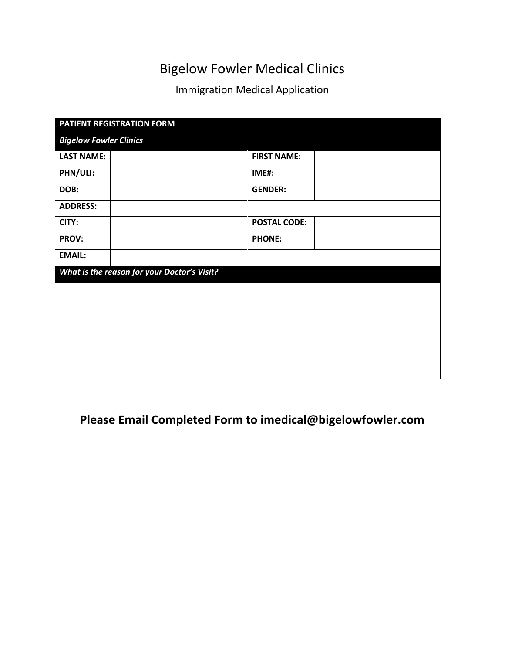# Bigelow Fowler Medical Clinics

## Immigration Medical Application

| PATIENT REGISTRATION FORM                   |                     |  |  |  |  |
|---------------------------------------------|---------------------|--|--|--|--|
| <b>Bigelow Fowler Clinics</b>               |                     |  |  |  |  |
| <b>LAST NAME:</b>                           | <b>FIRST NAME:</b>  |  |  |  |  |
| PHN/ULI:                                    | IME#:               |  |  |  |  |
| DOB:                                        | <b>GENDER:</b>      |  |  |  |  |
| <b>ADDRESS:</b>                             |                     |  |  |  |  |
| CITY:                                       | <b>POSTAL CODE:</b> |  |  |  |  |
| PROV:                                       | <b>PHONE:</b>       |  |  |  |  |
| <b>EMAIL:</b>                               |                     |  |  |  |  |
| What is the reason for your Doctor's Visit? |                     |  |  |  |  |
|                                             |                     |  |  |  |  |
|                                             |                     |  |  |  |  |
|                                             |                     |  |  |  |  |
|                                             |                     |  |  |  |  |
|                                             |                     |  |  |  |  |
|                                             |                     |  |  |  |  |

## **Please Email Completed Form to imedical@bigelowfowler.com**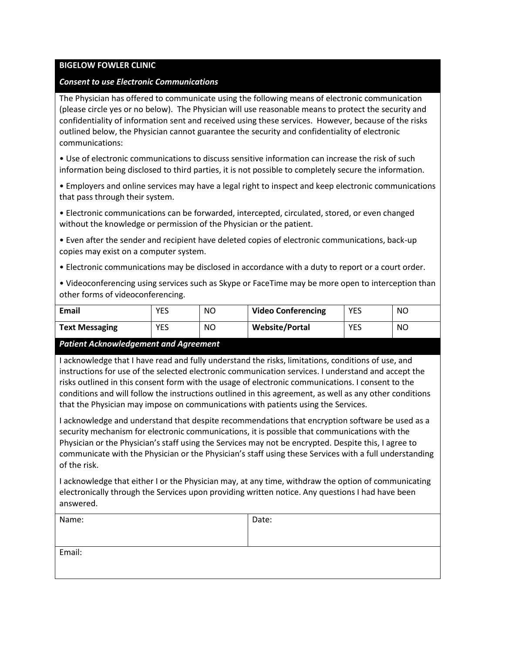#### **BIGELOW FOWLER CLINIC**

#### *Consent to use Electronic Communications*

The Physician has offered to communicate using the following means of electronic communication (please circle yes or no below). The Physician will use reasonable means to protect the security and confidentiality of information sent and received using these services. However, because of the risks outlined below, the Physician cannot guarantee the security and confidentiality of electronic communications:

• Use of electronic communications to discuss sensitive information can increase the risk of such information being disclosed to third parties, it is not possible to completely secure the information.

• Employers and online services may have a legal right to inspect and keep electronic communications that pass through their system.

• Electronic communications can be forwarded, intercepted, circulated, stored, or even changed without the knowledge or permission of the Physician or the patient.

• Even after the sender and recipient have deleted copies of electronic communications, back-up copies may exist on a computer system.

- Electronic communications may be disclosed in accordance with a duty to report or a court order.
- Videoconferencing using services such as Skype or FaceTime may be more open to interception than other forms of videoconferencing.

| Email                 | YES        | NO | <b>Video Conferencing</b> | <b>YES</b> | NO |
|-----------------------|------------|----|---------------------------|------------|----|
| <b>Text Messaging</b> | <b>YES</b> | ΝO | <b>Website/Portal</b>     | <b>YES</b> | NO |

#### *Patient Acknowledgement and Agreement*

I acknowledge that I have read and fully understand the risks, limitations, conditions of use, and instructions for use of the selected electronic communication services. I understand and accept the risks outlined in this consent form with the usage of electronic communications. I consent to the conditions and will follow the instructions outlined in this agreement, as well as any other conditions that the Physician may impose on communications with patients using the Services.

I acknowledge and understand that despite recommendations that encryption software be used as a security mechanism for electronic communications, it is possible that communications with the Physician or the Physician's staff using the Services may not be encrypted. Despite this, I agree to communicate with the Physician or the Physician's staff using these Services with a full understanding of the risk.

I acknowledge that either I or the Physician may, at any time, withdraw the option of communicating electronically through the Services upon providing written notice. Any questions I had have been answered.

| Name:  | Date: |
|--------|-------|
| Email: |       |